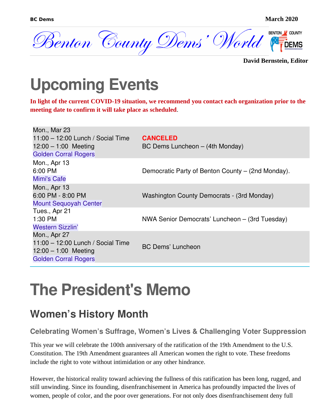

**David Bernstein, Editor**

### **Upcoming Events**

**In light of the current COVID-19 situation, we recommend you contact each organization prior to the meeting date to confirm it will take place as scheduled**.

| Mon., Mar 23<br>$11:00 - 12:00$ Lunch / Social Time<br>$12:00 - 1:00$ Meeting<br><b>Golden Corral Rogers</b> | <b>CANCELED</b><br>BC Dems Luncheon - (4th Monday) |
|--------------------------------------------------------------------------------------------------------------|----------------------------------------------------|
| Mon., Apr 13<br>6:00 PM<br>Mimi's Cafe                                                                       | Democratic Party of Benton County – (2nd Monday).  |
| Mon., Apr 13<br>6:00 PM - 8:00 PM<br><b>Mount Sequoyah Center</b>                                            | Washington County Democrats - (3rd Monday)         |
| Tues., Apr 21<br>$1:30$ PM<br><b>Western Sizzlin'</b>                                                        | NWA Senior Democrats' Luncheon – (3rd Tuesday)     |
| Mon., Apr 27<br>$11:00 - 12:00$ Lunch / Social Time<br>$12:00 - 1:00$ Meeting<br><b>Golden Corral Rogers</b> | <b>BC Dems' Luncheon</b>                           |

### **The President's Memo**

#### **Women's History Month**

**Celebrating Women's Suffrage, Women's Lives & Challenging Voter Suppression**

This year we will celebrate the 100th anniversary of the ratification of the 19th Amendment to the U.S. Constitution. The 19th Amendment guarantees all American women the right to vote. These freedoms include the right to vote without intimidation or any other hindrance.

However, the historical reality toward achieving the fullness of this ratification has been long, rugged, and still unwinding. Since its founding, disenfranchisement in America has profoundly impacted the lives of women, people of color, and the poor over generations. For not only does disenfranchisement deny full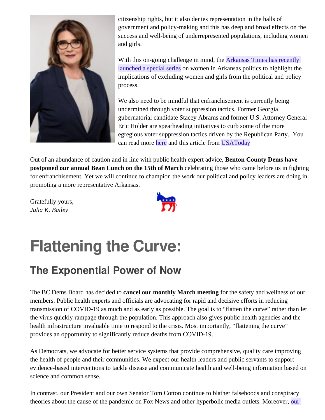

citizenship rights, but it also denies representation in the halls of government and policy-making and this has deep and broad effects on the success and well-being of underrepresented populations, including women and girls.

With this on-going challenge in mind, the [Arkansas Times has recently](https://arktimes.com/arkansas-blog/2020/01/29/introducing-thats-what-girls-do-a-new-special-series-on-women-in-politics)  [launched a special series](https://arktimes.com/arkansas-blog/2020/01/29/introducing-thats-what-girls-do-a-new-special-series-on-women-in-politics) on women in Arkansas politics to highlight the implications of excluding women and girls from the political and policy process.

We also need to be mindful that enfranchisement is currently being undermined through voter suppression tactics. Former Georgia gubernatorial candidate Stacey Abrams and former U.S. Attorney General Eric Holder are spearheading initiatives to curb some of the more egregious voter suppression tactics driven by the Republican Party. You can read more [here](https://fairfight.com/) and this article from [USAToday](https://www.usatoday.com/story/opinion/2020/01/15/fight-republican-voter-suppression-stacey-abrams-eric-holder-column/4466107002/)

Out of an abundance of caution and in line with public health expert advice, **Benton County Dems have postponed our annual Bean Lunch on the 15th of March** celebrating those who came before us in fighting for enfranchisement. Yet we will continue to champion the work our political and policy leaders are doing in promoting a more representative Arkansas.

Gratefully yours, *Julia K. Bailey*



# **Flattening the Curve:**

### **The Exponential Power of Now**

The BC Dems Board has decided to **cancel our monthly March meeting** for the safety and wellness of our members. Public health experts and officials are advocating for rapid and decisive efforts in reducing transmission of COVID-19 as much and as early as possible. The goal is to "flatten the curve" rather than let the virus quickly rampage through the population. This approach also gives public health agencies and the health infrastructure invaluable time to respond to the crisis. Most importantly, "flattening the curve" provides an opportunity to significantly reduce deaths from COVID-19.

As Democrats, we advocate for better service systems that provide comprehensive, quality care improving the health of people and their communities. We expect our health leaders and public servants to support evidence-based interventions to tackle disease and communicate health and well-being information based on science and common sense.

In contrast, our President and our own Senator Tom Cotton continue to blather falsehoods and conspiracy theories about the cause of the pandemic on Fox News and other hyperbolic media outlets. Moreover, our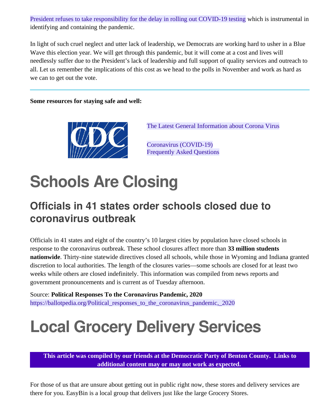[President refuses to take responsibility for the delay in rolling out COVID-19 testing](https://www.businessinsider.com/trump-i-dont-take-responsibility-for-delay-of-coronavirus-tests-2020-3) which is instrumental in identifying and containing the pandemic.

In light of such cruel neglect and utter lack of leadership, we Democrats are working hard to usher in a Blue Wave this election year. We will get through this pandemic, but it will come at a cost and lives will needlessly suffer due to the President's lack of leadership and full support of quality services and outreach to all. Let us remember the implications of this cost as we head to the polls in November and work as hard as we can to get out the vote.

#### **Some resources for staying safe and well:**



[The Latest General Information about Corona Virus](https://www.cdc.gov/coronavirus/2019-ncov/index.html)

[Coronavirus \(COVID-19\)](https://www.cdc.gov/coronavirus/2019-ncov/faq.html) [Frequently Asked Questions](https://www.cdc.gov/coronavirus/2019-ncov/faq.html)

### **Schools Are Closing**

#### **Officials in 41 states order schools closed due to coronavirus outbreak**

Officials in 41 states and eight of the country's 10 largest cities by population have closed schools in response to the coronavirus outbreak. These school closures affect more than **33 million students nationwide**. Thirty-nine statewide directives closed all schools, while those in Wyoming and Indiana granted discretion to local authorities. The length of the closures varies—some schools are closed for at least two weeks while others are closed indefinitely. This information was compiled from news reports and government pronouncements and is current as of Tuesday afternoon.

Source: **Political Responses To the Coronavirus Pandemic, 2020** [https://ballotpedia.org/Political\\_responses\\_to\\_the\\_coronavirus\\_pandemic,\\_2020](https://ballotpedia.org/Political_responses_to_the_coronavirus_pandemic,_2020)

## **Local Grocery Delivery Services**

**This article was compiled by our friends at the Democratic Party of Benton County. Links to additional content may or may not work as expected.** 

For those of us that are unsure about getting out in public right now, these stores and delivery services are there for you. EasyBin is a local group that delivers just like the large Grocery Stores.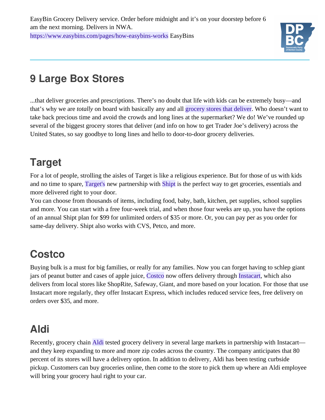

#### **9 Large Box Stores**

...that deliver groceries and prescriptions. There's no doubt that life with kids can be extremely busy—and that's why we are *totally* on board with basically any and all [grocery stores that deliver](https://www.delish.com/food-news/a23307102/aldi-grocery-delivery-instacart/). Who doesn't want to take back precious time and avoid the crowds and long lines at the supermarket? We do! We've rounded up several of the biggest grocery stores that deliver (and info on how to get Trader Joe's delivery) across the United States, so say goodbye to long lines and hello to door-to-door grocery deliveries.

#### **Target**

For a lot of people, strolling the aisles of Target is like a religious experience. But for those of us with kids and no time to spare, [Target's](https://www.target.com/c/shipt/-/N-t4bob) new partnership with [Shipt](https://www.shipt.com/) is the perfect way to get groceries, essentials and more delivered right to your door.

You can choose from thousands of items, including food, baby, bath, kitchen, pet supplies, school supplies and more. You can start with a free four-week trial, and when those four weeks are up, you have the options of an annual Shipt plan for \$99 for unlimited orders of \$35 or more. Or, you can pay per as you order for same-day delivery. Shipt also works with CVS, Petco, and more.

### **Costco**

Buying bulk is a must for big families, or really for any families. Now you can forget having to schlep giant jars of peanut butter and cases of apple juice, [Costco](https://www.costco.com/) now offers delivery through [Instacart](https://www.instacart.com/), which also delivers from local stores like ShopRite, Safeway, Giant, and more based on your location. For those that use Instacart more regularly, they offer Instacart Express, which includes reduced service fees, free delivery on orders over \$35, and more.

### **Aldi**

Recently, grocery chain [Aldi](https://shop.aldi.us/?utm_medium=sem&utm_source=instacart_google&utm_campaign=&utm_content=accountid-6692531986_campaignid-7979384061_adgroupid-82679396335_device-c&utm_term=matchtype-e_keyword-aldi%20delivery_targetid-kwd-3545557583_locationid-9004554&gclid=EAIaIQobChMIhprmx8_R5wIViJOzCh2NZQYsEAAYASAAEgKpmfD_BwE) tested grocery delivery in several large markets in partnership with Instacart and they keep expanding to more and more zip codes across the country. The company anticipates that 80 percent of its stores will have a delivery option. In addition to delivery, Aldi has been testing curbside pickup. Customers can buy groceries online, then come to the store to pick them up where an Aldi employee will bring your grocery haul right to your car.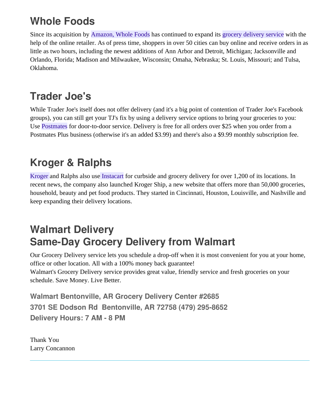#### **Whole Foods**

Since its acquisition by [Amazon, Whole Foods](https://primenow.amazon.com/onboard?forceOnboard=1&sourceUrl=%2Fstorefront%3FmerchantId%3DA3NO6PYCC6QLSP%26ref_%3DCOPP72_WFM_SPLASH&ref_=COPP72_WFM_SPLASH) has continued to expand its [grocery delivery service](https://redtri.com/amazon-whole-foods-prime-delivery-10-more-cities/) with the help of the online retailer. As of press time, shoppers in over 50 cities can buy online and receive orders in as little as two hours, including the newest additions of Ann Arbor and Detroit, Michigan; Jacksonville and Orlando, Florida; Madison and Milwaukee, Wisconsin; Omaha, Nebraska; St. Louis, Missouri; and Tulsa, Oklahoma.

#### **Trader Joe's**

While Trader Joe's itself does not offer delivery (and it's a big point of contention of Trader Joe's Facebook groups), you can still get your TJ's fix by using a delivery service options to bring your groceries to you: Use [Postmates](https://postmates.com/) for door-to-door service. Delivery is free for all orders over \$25 when you order from a Postmates Plus business (otherwise it's an added \$3.99) and there's also a \$9.99 monthly subscription fee.

#### **Kroger & Ralphs**

[Kroger](https://www.kroger.com/i/ways-to-shop/delivery) and Ralphs also use [Instacart](https://www.instacart.com/kroger) for curbside and grocery delivery for over 1,200 of its locations. In recent news, the company also launched Kroger Ship, a new website that offers more than 50,000 groceries, household, beauty and pet food products. They started in Cincinnati, Houston, Louisville, and Nashville and keep expanding their delivery locations.

#### **Walmart Delivery Same-Day Grocery Delivery from Walmart**

Our Grocery Delivery service lets you schedule a drop-off when it is most convenient for you at your home, office or other location. All with a 100% money back guarantee! Walmart's Grocery Delivery service provides great value, friendly service and fresh groceries on your schedule. Save Money. Live Better.

**Walmart Bentonville, AR Grocery Delivery Center #2685 3701 SE Dodson Rd Bentonville, AR 72758 (479) 295-8652 Delivery Hours: 7 AM - 8 PM**

Thank You Larry Concannon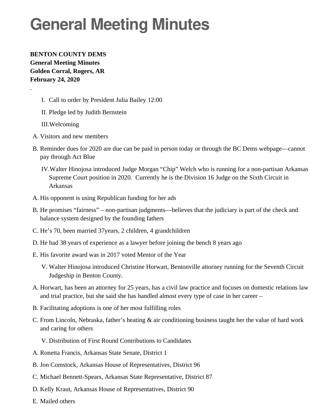### **General Meeting Minutes**

**BENTON COUNTY DEMS General Meeting Minutes Golden Corral, Rogers, AR February 24, 2020**

- I. Call to order by President Julia Bailey 12:00
- II. Pledge led by Judith Bernstein
- III.Welcoming

.

- A. Visitors and new members
- B. Reminder dues for 2020 are due can be paid in person today or through the BC Dems webpage—cannot pay through Act Blue
	- IV.Walter Hinojosa introduced Judge Morgan "Chip" Welch who is running for a non-partisan Arkansas Supreme Court position in 2020. Currently he is the Division 16 Judge on the Sixth Circuit in Arkansas
- A. His opponent is using Republican funding for her ads
- B. He promises "fairness" non-partisan judgments—believes that the judiciary is part of the check and balance system designed by the founding fathers
- C. He's 70, been married 37years, 2 children, 4 grandchildren
- D. He had 38 years of experience as a lawyer before joining the bench 8 years ago
- E. His favorite award was in 2017 voted Mentor of the Year
	- V. Walter Hinojosa introduced Christine Horwart, Bentonville attorney running for the Seventh Circuit Judgeship in Benton County.
- A. Horwart, has been an attorney for 25 years, has a civil law practice and focuses on domestic relations law and trial practice, but she said she has handled almost every type of case in her career –
- B. Facilitating adoptions is one of her most fulfilling roles
- C. From Lincoln, Nebraska, father's heating & air conditioning business taught her the value of hard work and caring for others
	- V. Distribution of First Round Contributions to Candidates
- A. Ronetta Francis, Arkansas State Senate, District 1
- B. Jon Comstock, Arkansas House of Representatives, District 96
- C. Michael Bennett-Spears, Arkansas State Representative, District 87
- D. Kelly Kraut, Arkansas House of Representatives, District 90
- E. Mailed others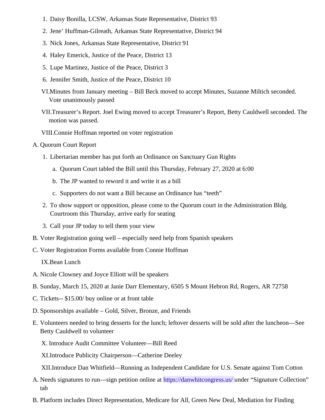- 1. Daisy Bonilla, LCSW, Arkansas State Representative, District 93
- 2. Jene' Huffman-Gilreath, Arkansas State Representative, District 94
- 3. Nick Jones, Arkansas State Representative, District 91
- 4. Haley Emerick, Justice of the Peace, District 13
- 5. Lupe Martinez, Justice of the Peace, District 3
- 6. Jennifer Smith, Justice of the Peace, District 10
- VI.Minutes from January meeting Bill Beck moved to accept Minutes, Suzanne Miltich seconded. Vote unanimously passed
- VII.Treasurer's Report. Joel Ewing moved to accept Treasurer's Report, Betty Cauldwell seconded. The motion was passed.
- VIII.Connie Hoffman reported on voter registration
- A. Quorum Court Report
	- 1. Libertarian member has put forth an Ordinance on Sanctuary Gun Rights
		- a. Quorum Court tabled the Bill until this Thursday, February 27, 2020 at 6:00
		- b. The JP wanted to reword it and write it as a bill
		- c. Supporters do not want a Bill because an Ordinance has "teeth"
	- 2. To show support or opposition, please come to the Quorum court in the Administration Bldg. Courtroom this Thursday, arrive early for seating
	- 3. Call your JP today to tell them your view
- B. Voter Registration going well especially need help from Spanish speakers
- C. Voter Registration Forms available from Connie Hoffman

IX.Bean Lunch

- A. Nicole Clowney and Joyce Elliott will be speakers
- B. Sunday, March 15, 2020 at Janie Darr Elementary, 6505 S Mount Hebron Rd, Rogers, AR 72758
- C. Tickets-- \$15.00/ buy online or at front table
- D. Sponsorships available Gold, Silver, Bronze, and Friends
- E. Volunteers needed to bring desserts for the lunch; leftover desserts will be sold after the luncheon—See Betty Cauldwell to volunteer

X. Introduce Audit Committee Volunteer—Bill Reed

XI.Introduce Publicity Chairperson—Catherine Deeley

XII.Introduce Dan Whitfield—Running as Independent Candidate for U.S. Senate against Tom Cotton

- A. Needs signatures to run—sign petition online at [https://danwhitcongress.us/ u](https://danwhitcongress.us/)nder "Signature Collection" tab
- B. Platform includes Direct Representation, Medicare for All, Green New Deal, Mediation for Finding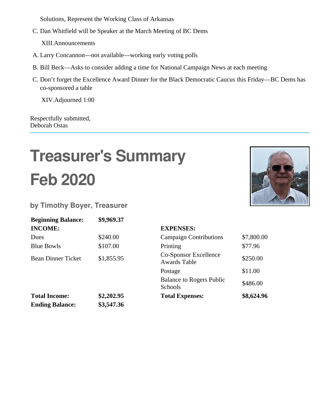Solutions, Represent the Working Class of Arkansas

C. Dan Whitfield will be Speaker at the March Meeting of BC Dems

XIII.Announcements

- A. Larry Concannon—not available—working early voting polls
- B. Bill Beck—Asks to consider adding a time for National Campaign News at each meeting
- C. Don't forget the Excellence Award Dinner for the Black Democratic Caucus this Friday—BC Dems has co-sponsored a table

XIV.Adjourned 1:00

Respectfully submitted, Deborah Ostas

# **Treasurer's Summary Feb 2020**



**by Timothy Boyer, Treasurer**

| <b>Beginning Balance:</b> | \$9,969.37 |                                                     |            |
|---------------------------|------------|-----------------------------------------------------|------------|
| <b>INCOME:</b>            |            | <b>EXPENSES:</b>                                    |            |
| <b>Dues</b>               | \$240.00   | <b>Campaign Contributions</b>                       | \$7,800.00 |
| <b>Blue Bowls</b>         | \$107.00   | Printing                                            | \$77.96    |
| <b>Bean Dinner Ticket</b> | \$1,855.95 | <b>Co-Sponsor Excellence</b><br><b>Awards Table</b> | \$250.00   |
|                           |            | Postage                                             | \$11.00    |
|                           |            | <b>Balance to Rogers Public</b><br><b>Schools</b>   | \$486.00   |
| <b>Total Income:</b>      | \$2,202.95 | <b>Total Expenses:</b>                              | \$8,624.96 |
| <b>Ending Balance:</b>    | \$3,547.36 |                                                     |            |